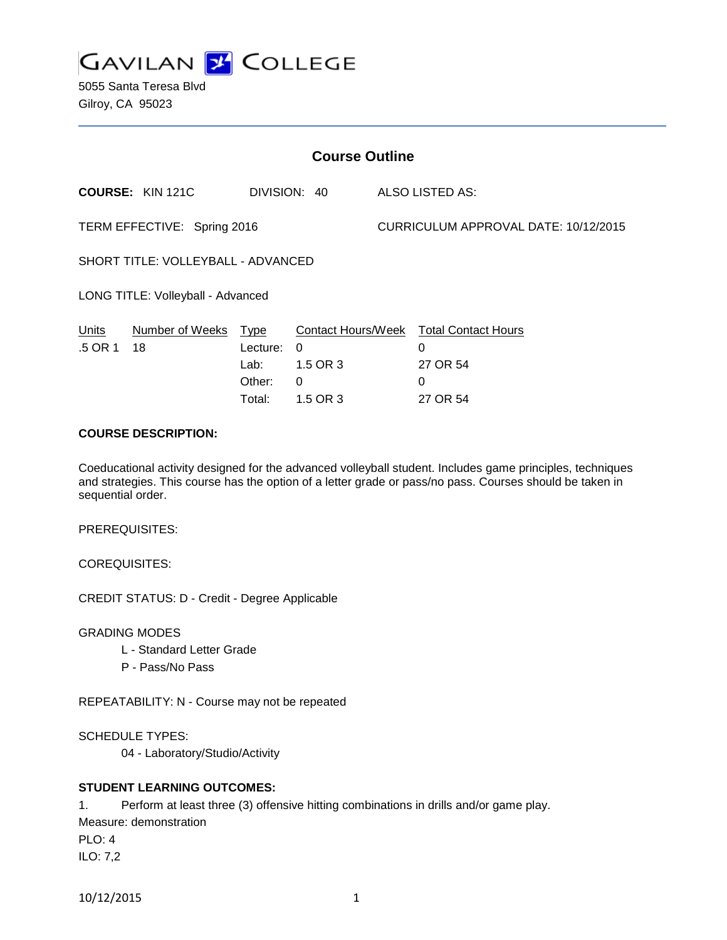

5055 Santa Teresa Blvd Gilroy, CA 95023

| <b>Course Outline</b>              |                         |              |                           |                                      |                            |
|------------------------------------|-------------------------|--------------|---------------------------|--------------------------------------|----------------------------|
|                                    | <b>COURSE: KIN 121C</b> | DIVISION: 40 |                           |                                      | <b>ALSO LISTED AS:</b>     |
| TERM EFFECTIVE: Spring 2016        |                         |              |                           | CURRICULUM APPROVAL DATE: 10/12/2015 |                            |
| SHORT TITLE: VOLLEYBALL - ADVANCED |                         |              |                           |                                      |                            |
| LONG TITLE: Volleyball - Advanced  |                         |              |                           |                                      |                            |
| <b>Units</b>                       | Number of Weeks         | Type         | <b>Contact Hours/Week</b> |                                      | <b>Total Contact Hours</b> |
| .5 OR 1                            | 18                      | Lecture:     | 0                         |                                      | 0                          |
|                                    |                         | Lab:         | 1.5 OR 3                  |                                      | 27 OR 54                   |
|                                    |                         | Other:       | 0                         |                                      | 0                          |
|                                    |                         | Total:       | 1.5 OR 3                  |                                      | 27 OR 54                   |

## **COURSE DESCRIPTION:**

Coeducational activity designed for the advanced volleyball student. Includes game principles, techniques and strategies. This course has the option of a letter grade or pass/no pass. Courses should be taken in sequential order.

PREREQUISITES:

COREQUISITES:

CREDIT STATUS: D - Credit - Degree Applicable

GRADING MODES

- L Standard Letter Grade
- P Pass/No Pass

REPEATABILITY: N - Course may not be repeated

SCHEDULE TYPES:

04 - Laboratory/Studio/Activity

## **STUDENT LEARNING OUTCOMES:**

1. Perform at least three (3) offensive hitting combinations in drills and/or game play. Measure: demonstration PLO: 4 ILO: 7,2

```
10/12/2015 1
```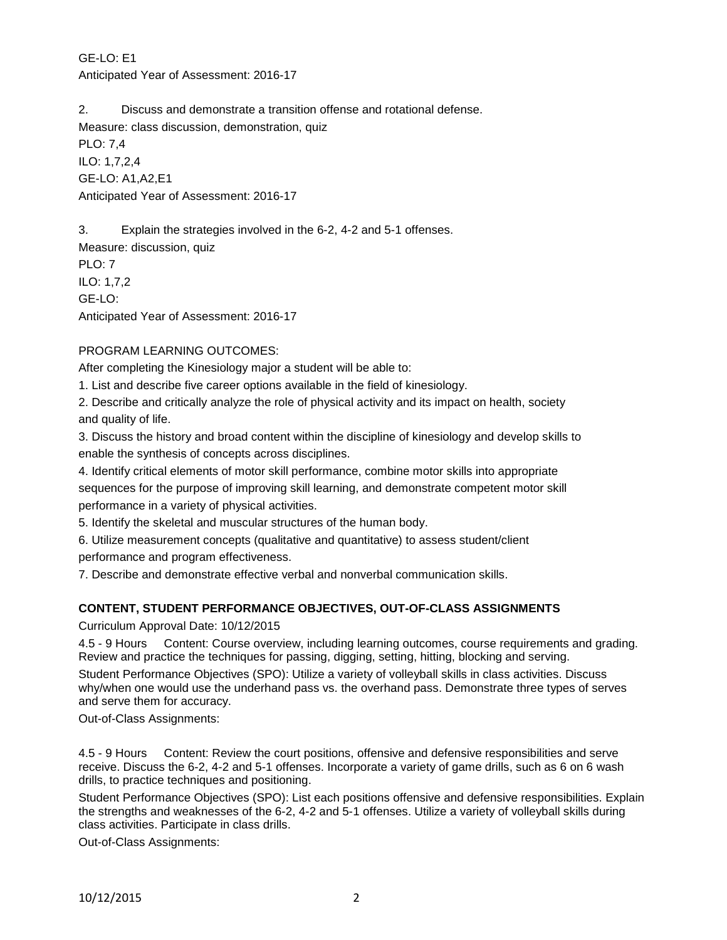GE-LO: E1 Anticipated Year of Assessment: 2016-17

2. Discuss and demonstrate a transition offense and rotational defense.

Measure: class discussion, demonstration, quiz

PLO: 7,4 ILO: 1,7,2,4 GE-LO: A1,A2,E1 Anticipated Year of Assessment: 2016-17

3. Explain the strategies involved in the 6-2, 4-2 and 5-1 offenses.

Measure: discussion, quiz PLO: 7 ILO: 1,7,2 GE-LO: Anticipated Year of Assessment: 2016-17

## PROGRAM LEARNING OUTCOMES:

After completing the Kinesiology major a student will be able to:

1. List and describe five career options available in the field of kinesiology.

2. Describe and critically analyze the role of physical activity and its impact on health, society and quality of life.

3. Discuss the history and broad content within the discipline of kinesiology and develop skills to enable the synthesis of concepts across disciplines.

4. Identify critical elements of motor skill performance, combine motor skills into appropriate sequences for the purpose of improving skill learning, and demonstrate competent motor skill performance in a variety of physical activities.

5. Identify the skeletal and muscular structures of the human body.

6. Utilize measurement concepts (qualitative and quantitative) to assess student/client

performance and program effectiveness.

7. Describe and demonstrate effective verbal and nonverbal communication skills.

## **CONTENT, STUDENT PERFORMANCE OBJECTIVES, OUT-OF-CLASS ASSIGNMENTS**

Curriculum Approval Date: 10/12/2015

4.5 - 9 Hours Content: Course overview, including learning outcomes, course requirements and grading. Review and practice the techniques for passing, digging, setting, hitting, blocking and serving.

Student Performance Objectives (SPO): Utilize a variety of volleyball skills in class activities. Discuss why/when one would use the underhand pass vs. the overhand pass. Demonstrate three types of serves and serve them for accuracy.

Out-of-Class Assignments:

4.5 - 9 Hours Content: Review the court positions, offensive and defensive responsibilities and serve receive. Discuss the 6-2, 4-2 and 5-1 offenses. Incorporate a variety of game drills, such as 6 on 6 wash drills, to practice techniques and positioning.

Student Performance Objectives (SPO): List each positions offensive and defensive responsibilities. Explain the strengths and weaknesses of the 6-2, 4-2 and 5-1 offenses. Utilize a variety of volleyball skills during class activities. Participate in class drills.

Out-of-Class Assignments: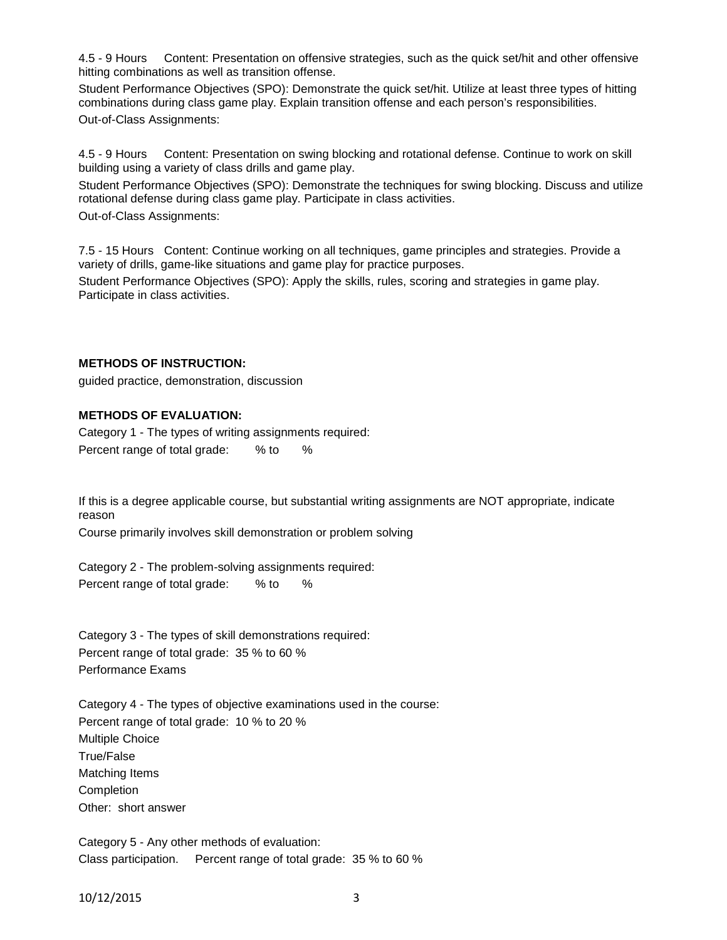4.5 - 9 Hours Content: Presentation on offensive strategies, such as the quick set/hit and other offensive hitting combinations as well as transition offense.

Student Performance Objectives (SPO): Demonstrate the quick set/hit. Utilize at least three types of hitting combinations during class game play. Explain transition offense and each person's responsibilities. Out-of-Class Assignments:

4.5 - 9 Hours Content: Presentation on swing blocking and rotational defense. Continue to work on skill building using a variety of class drills and game play.

Student Performance Objectives (SPO): Demonstrate the techniques for swing blocking. Discuss and utilize rotational defense during class game play. Participate in class activities. Out-of-Class Assignments:

7.5 - 15 Hours Content: Continue working on all techniques, game principles and strategies. Provide a variety of drills, game-like situations and game play for practice purposes.

Student Performance Objectives (SPO): Apply the skills, rules, scoring and strategies in game play. Participate in class activities.

#### **METHODS OF INSTRUCTION:**

guided practice, demonstration, discussion

#### **METHODS OF EVALUATION:**

Category 1 - The types of writing assignments required: Percent range of total grade: % to %

If this is a degree applicable course, but substantial writing assignments are NOT appropriate, indicate reason

Course primarily involves skill demonstration or problem solving

Category 2 - The problem-solving assignments required: Percent range of total grade: % to %

Category 3 - The types of skill demonstrations required: Percent range of total grade: 35 % to 60 % Performance Exams

Category 4 - The types of objective examinations used in the course: Percent range of total grade: 10 % to 20 % Multiple Choice True/False Matching Items Completion Other: short answer

Category 5 - Any other methods of evaluation: Class participation. Percent range of total grade: 35 % to 60 %

10/12/2015 3